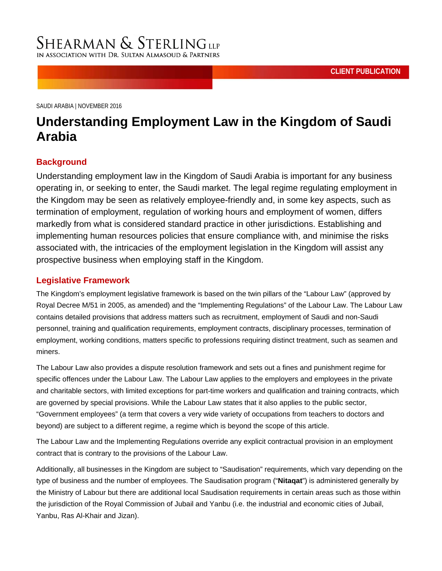[SAUDI ARABIA |](http://www.shearman.com/en/services/regions/middle-east/middle-east) NOVEMBER 2016

IN ASSOCIATION WITH DR. SULTA

**SHEARMAN & STERLINGLLP** 

# **Understanding Employment Law in the Kingdom of Saudi Arabia**

## **Background**

Understanding employment law in the Kingdom of Saudi Arabia is important for any business operating in, or seeking to enter, the Saudi market. The legal regime regulating employment in the Kingdom may be seen as relatively employee-friendly and, in some key aspects, such as termination of employment, regulation of working hours and employment of women, differs markedly from what is considered standard practice in other jurisdictions. Establishing and implementing human resources policies that ensure compliance with, and minimise the risks associated with, the intricacies of the employment legislation in the Kingdom will assist any prospective business when employing staff in the Kingdom.

### **Legislative Framework**

The Kingdom's employment legislative framework is based on the twin pillars of the "Labour Law" (approved by Royal Decree M/51 in 2005, as amended) and the "Implementing Regulations" of the Labour Law. The Labour Law contains detailed provisions that address matters such as recruitment, employment of Saudi and non-Saudi personnel, training and qualification requirements, employment contracts, disciplinary processes, termination of employment, working conditions, matters specific to professions requiring distinct treatment, such as seamen and miners.

The Labour Law also provides a dispute resolution framework and sets out a fines and punishment regime for specific offences under the Labour Law. The Labour Law applies to the employers and employees in the private and charitable sectors, with limited exceptions for part-time workers and qualification and training contracts, which are governed by special provisions. While the Labour Law states that it also applies to the public sector, "Government employees" (a term that covers a very wide variety of occupations from teachers to doctors and beyond) are subject to a different regime, a regime which is beyond the scope of this article.

The Labour Law and the Implementing Regulations override any explicit contractual provision in an employment contract that is contrary to the provisions of the Labour Law.

Additionally, all businesses in the Kingdom are subject to "Saudisation" requirements, which vary depending on the type of business and the number of employees. The Saudisation program ("**Nitaqat**") is administered generally by the Ministry of Labour but there are additional local Saudisation requirements in certain areas such as those within the jurisdiction of the Royal Commission of Jubail and Yanbu (i.e. the industrial and economic cities of Jubail, Yanbu, Ras Al-Khair and Jizan).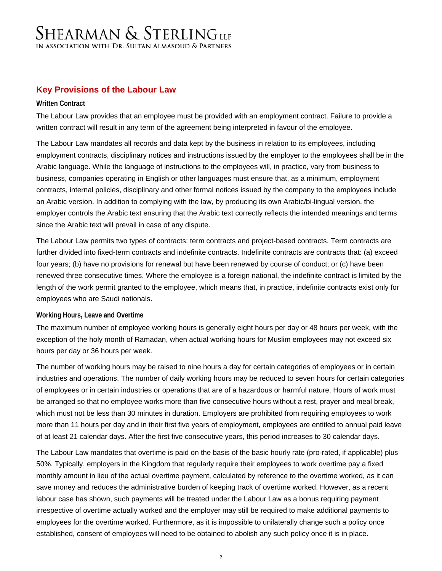## **Key Provisions of the Labour Law**

### **Written Contract**

The Labour Law provides that an employee must be provided with an employment contract. Failure to provide a written contract will result in any term of the agreement being interpreted in favour of the employee.

The Labour Law mandates all records and data kept by the business in relation to its employees, including employment contracts, disciplinary notices and instructions issued by the employer to the employees shall be in the Arabic language. While the language of instructions to the employees will, in practice, vary from business to business, companies operating in English or other languages must ensure that, as a minimum, employment contracts, internal policies, disciplinary and other formal notices issued by the company to the employees include an Arabic version. In addition to complying with the law, by producing its own Arabic/bi-lingual version, the employer controls the Arabic text ensuring that the Arabic text correctly reflects the intended meanings and terms since the Arabic text will prevail in case of any dispute.

The Labour Law permits two types of contracts: term contracts and project-based contracts. Term contracts are further divided into fixed-term contracts and indefinite contracts. Indefinite contracts are contracts that: (a) exceed four years; (b) have no provisions for renewal but have been renewed by course of conduct; or (c) have been renewed three consecutive times. Where the employee is a foreign national, the indefinite contract is limited by the length of the work permit granted to the employee, which means that, in practice, indefinite contracts exist only for employees who are Saudi nationals.

### **Working Hours, Leave and Overtime**

The maximum number of employee working hours is generally eight hours per day or 48 hours per week, with the exception of the holy month of Ramadan, when actual working hours for Muslim employees may not exceed six hours per day or 36 hours per week.

The number of working hours may be raised to nine hours a day for certain categories of employees or in certain industries and operations. The number of daily working hours may be reduced to seven hours for certain categories of employees or in certain industries or operations that are of a hazardous or harmful nature. Hours of work must be arranged so that no employee works more than five consecutive hours without a rest, prayer and meal break, which must not be less than 30 minutes in duration. Employers are prohibited from requiring employees to work more than 11 hours per day and in their first five years of employment, employees are entitled to annual paid leave of at least 21 calendar days. After the first five consecutive years, this period increases to 30 calendar days.

The Labour Law mandates that overtime is paid on the basis of the basic hourly rate (pro-rated, if applicable) plus 50%. Typically, employers in the Kingdom that regularly require their employees to work overtime pay a fixed monthly amount in lieu of the actual overtime payment, calculated by reference to the overtime worked, as it can save money and reduces the administrative burden of keeping track of overtime worked. However, as a recent labour case has shown, such payments will be treated under the Labour Law as a bonus requiring payment irrespective of overtime actually worked and the employer may still be required to make additional payments to employees for the overtime worked. Furthermore, as it is impossible to unilaterally change such a policy once established, consent of employees will need to be obtained to abolish any such policy once it is in place.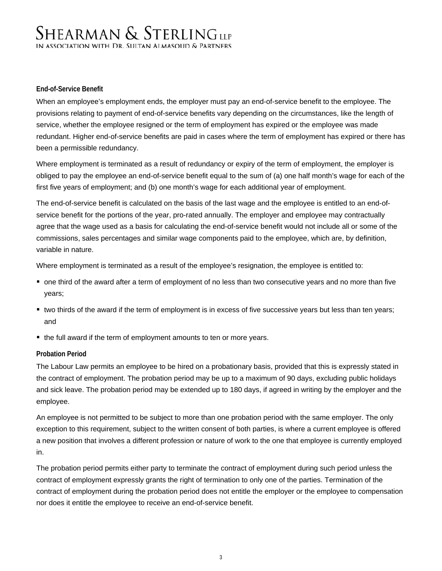### **End-of-Service Benefit**

When an employee's employment ends, the employer must pay an end-of-service benefit to the employee. The provisions relating to payment of end-of-service benefits vary depending on the circumstances, like the length of service, whether the employee resigned or the term of employment has expired or the employee was made redundant. Higher end-of-service benefits are paid in cases where the term of employment has expired or there has been a permissible redundancy.

Where employment is terminated as a result of redundancy or expiry of the term of employment, the employer is obliged to pay the employee an end-of-service benefit equal to the sum of (a) one half month's wage for each of the first five years of employment; and (b) one month's wage for each additional year of employment.

The end-of-service benefit is calculated on the basis of the last wage and the employee is entitled to an end-ofservice benefit for the portions of the year, pro-rated annually. The employer and employee may contractually agree that the wage used as a basis for calculating the end-of-service benefit would not include all or some of the commissions, sales percentages and similar wage components paid to the employee, which are, by definition, variable in nature.

Where employment is terminated as a result of the employee's resignation, the employee is entitled to:

- one third of the award after a term of employment of no less than two consecutive years and no more than five years;
- two thirds of the award if the term of employment is in excess of five successive years but less than ten years; and
- the full award if the term of employment amounts to ten or more years.

### **Probation Period**

The Labour Law permits an employee to be hired on a probationary basis, provided that this is expressly stated in the contract of employment. The probation period may be up to a maximum of 90 days, excluding public holidays and sick leave. The probation period may be extended up to 180 days, if agreed in writing by the employer and the employee.

An employee is not permitted to be subject to more than one probation period with the same employer. The only exception to this requirement, subject to the written consent of both parties, is where a current employee is offered a new position that involves a different profession or nature of work to the one that employee is currently employed in.

The probation period permits either party to terminate the contract of employment during such period unless the contract of employment expressly grants the right of termination to only one of the parties. Termination of the contract of employment during the probation period does not entitle the employer or the employee to compensation nor does it entitle the employee to receive an end-of-service benefit.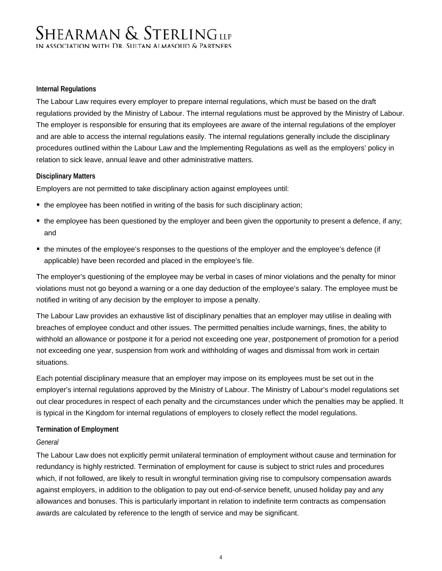### **Internal Regulations**

The Labour Law requires every employer to prepare internal regulations, which must be based on the draft regulations provided by the Ministry of Labour. The internal regulations must be approved by the Ministry of Labour. The employer is responsible for ensuring that its employees are aware of the internal regulations of the employer and are able to access the internal regulations easily. The internal regulations generally include the disciplinary procedures outlined within the Labour Law and the Implementing Regulations as well as the employers' policy in relation to sick leave, annual leave and other administrative matters.

### **Disciplinary Matters**

Employers are not permitted to take disciplinary action against employees until:

- the employee has been notified in writing of the basis for such disciplinary action;
- the employee has been questioned by the employer and been given the opportunity to present a defence, if any; and
- the minutes of the employee's responses to the questions of the employer and the employee's defence (if applicable) have been recorded and placed in the employee's file.

The employer's questioning of the employee may be verbal in cases of minor violations and the penalty for minor violations must not go beyond a warning or a one day deduction of the employee's salary. The employee must be notified in writing of any decision by the employer to impose a penalty.

The Labour Law provides an exhaustive list of disciplinary penalties that an employer may utilise in dealing with breaches of employee conduct and other issues. The permitted penalties include warnings, fines, the ability to withhold an allowance or postpone it for a period not exceeding one year, postponement of promotion for a period not exceeding one year, suspension from work and withholding of wages and dismissal from work in certain situations.

Each potential disciplinary measure that an employer may impose on its employees must be set out in the employer's internal regulations approved by the Ministry of Labour. The Ministry of Labour's model regulations set out clear procedures in respect of each penalty and the circumstances under which the penalties may be applied. It is typical in the Kingdom for internal regulations of employers to closely reflect the model regulations.

### **Termination of Employment**

#### *General*

The Labour Law does not explicitly permit unilateral termination of employment without cause and termination for redundancy is highly restricted. Termination of employment for cause is subject to strict rules and procedures which, if not followed, are likely to result in wrongful termination giving rise to compulsory compensation awards against employers, in addition to the obligation to pay out end-of-service benefit, unused holiday pay and any allowances and bonuses. This is particularly important in relation to indefinite term contracts as compensation awards are calculated by reference to the length of service and may be significant.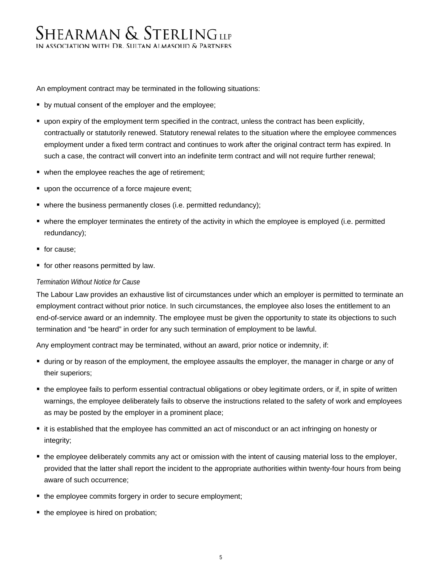An employment contract may be terminated in the following situations:

- **•** by mutual consent of the employer and the employee;
- upon expiry of the employment term specified in the contract, unless the contract has been explicitly, contractually or statutorily renewed. Statutory renewal relates to the situation where the employee commences employment under a fixed term contract and continues to work after the original contract term has expired. In such a case, the contract will convert into an indefinite term contract and will not require further renewal;
- when the employee reaches the age of retirement;
- upon the occurrence of a force majeure event;
- where the business permanently closes (i.e. permitted redundancy);
- where the employer terminates the entirety of the activity in which the employee is employed (i.e. permitted redundancy);
- for cause;
- **for other reasons permitted by law.**

### *Termination Without Notice for Cause*

The Labour Law provides an exhaustive list of circumstances under which an employer is permitted to terminate an employment contract without prior notice. In such circumstances, the employee also loses the entitlement to an end-of-service award or an indemnity. The employee must be given the opportunity to state its objections to such termination and "be heard" in order for any such termination of employment to be lawful.

Any employment contract may be terminated, without an award, prior notice or indemnity, if:

- during or by reason of the employment, the employee assaults the employer, the manager in charge or any of their superiors;
- the employee fails to perform essential contractual obligations or obey legitimate orders, or if, in spite of written warnings, the employee deliberately fails to observe the instructions related to the safety of work and employees as may be posted by the employer in a prominent place;
- it is established that the employee has committed an act of misconduct or an act infringing on honesty or integrity;
- the employee deliberately commits any act or omission with the intent of causing material loss to the employer, provided that the latter shall report the incident to the appropriate authorities within twenty-four hours from being aware of such occurrence;
- the employee commits forgery in order to secure employment;
- the employee is hired on probation;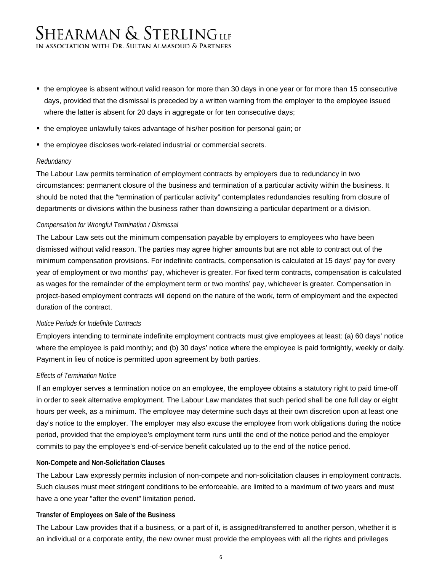- the employee is absent without valid reason for more than 30 days in one year or for more than 15 consecutive days, provided that the dismissal is preceded by a written warning from the employer to the employee issued where the latter is absent for 20 days in aggregate or for ten consecutive days;
- the employee unlawfully takes advantage of his/her position for personal gain; or
- the employee discloses work-related industrial or commercial secrets.

### *Redundancy*

The Labour Law permits termination of employment contracts by employers due to redundancy in two circumstances: permanent closure of the business and termination of a particular activity within the business. It should be noted that the "termination of particular activity" contemplates redundancies resulting from closure of departments or divisions within the business rather than downsizing a particular department or a division.

### *Compensation for Wrongful Termination / Dismissal*

The Labour Law sets out the minimum compensation payable by employers to employees who have been dismissed without valid reason. The parties may agree higher amounts but are not able to contract out of the minimum compensation provisions. For indefinite contracts, compensation is calculated at 15 days' pay for every year of employment or two months' pay, whichever is greater. For fixed term contracts, compensation is calculated as wages for the remainder of the employment term or two months' pay, whichever is greater. Compensation in project-based employment contracts will depend on the nature of the work, term of employment and the expected duration of the contract.

#### *Notice Periods for Indefinite Contracts*

Employers intending to terminate indefinite employment contracts must give employees at least: (a) 60 days' notice where the employee is paid monthly; and (b) 30 days' notice where the employee is paid fortnightly, weekly or daily. Payment in lieu of notice is permitted upon agreement by both parties.

#### *Effects of Termination Notice*

If an employer serves a termination notice on an employee, the employee obtains a statutory right to paid time-off in order to seek alternative employment. The Labour Law mandates that such period shall be one full day or eight hours per week, as a minimum. The employee may determine such days at their own discretion upon at least one day's notice to the employer. The employer may also excuse the employee from work obligations during the notice period, provided that the employee's employment term runs until the end of the notice period and the employer commits to pay the employee's end-of-service benefit calculated up to the end of the notice period.

#### **Non-Compete and Non-Solicitation Clauses**

The Labour Law expressly permits inclusion of non-compete and non-solicitation clauses in employment contracts. Such clauses must meet stringent conditions to be enforceable, are limited to a maximum of two years and must have a one year "after the event" limitation period.

### **Transfer of Employees on Sale of the Business**

The Labour Law provides that if a business, or a part of it, is assigned/transferred to another person, whether it is an individual or a corporate entity, the new owner must provide the employees with all the rights and privileges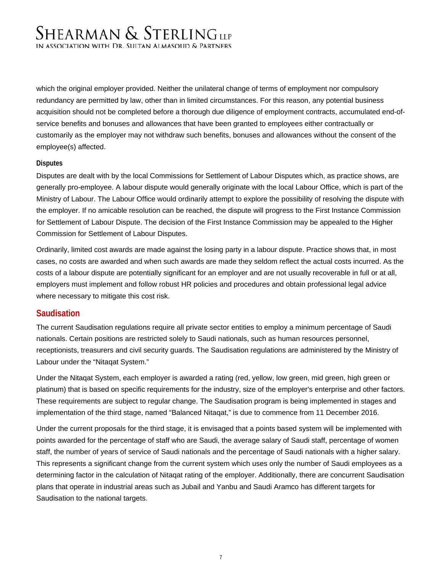which the original employer provided. Neither the unilateral change of terms of employment nor compulsory redundancy are permitted by law, other than in limited circumstances. For this reason, any potential business acquisition should not be completed before a thorough due diligence of employment contracts, accumulated end-ofservice benefits and bonuses and allowances that have been granted to employees either contractually or customarily as the employer may not withdraw such benefits, bonuses and allowances without the consent of the employee(s) affected.

### **Disputes**

Disputes are dealt with by the local Commissions for Settlement of Labour Disputes which, as practice shows, are generally pro-employee. A labour dispute would generally originate with the local Labour Office, which is part of the Ministry of Labour. The Labour Office would ordinarily attempt to explore the possibility of resolving the dispute with the employer. If no amicable resolution can be reached, the dispute will progress to the First Instance Commission for Settlement of Labour Dispute. The decision of the First Instance Commission may be appealed to the Higher Commission for Settlement of Labour Disputes.

Ordinarily, limited cost awards are made against the losing party in a labour dispute. Practice shows that, in most cases, no costs are awarded and when such awards are made they seldom reflect the actual costs incurred. As the costs of a labour dispute are potentially significant for an employer and are not usually recoverable in full or at all, employers must implement and follow robust HR policies and procedures and obtain professional legal advice where necessary to mitigate this cost risk.

## **Saudisation**

The current Saudisation regulations require all private sector entities to employ a minimum percentage of Saudi nationals. Certain positions are restricted solely to Saudi nationals, such as human resources personnel, receptionists, treasurers and civil security guards. The Saudisation regulations are administered by the Ministry of Labour under the "Nitaqat System."

Under the Nitaqat System, each employer is awarded a rating (red, yellow, low green, mid green, high green or platinum) that is based on specific requirements for the industry, size of the employer's enterprise and other factors. These requirements are subject to regular change. The Saudisation program is being implemented in stages and implementation of the third stage, named "Balanced Nitaqat," is due to commence from 11 December 2016.

Under the current proposals for the third stage, it is envisaged that a points based system will be implemented with points awarded for the percentage of staff who are Saudi, the average salary of Saudi staff, percentage of women staff, the number of years of service of Saudi nationals and the percentage of Saudi nationals with a higher salary. This represents a significant change from the current system which uses only the number of Saudi employees as a determining factor in the calculation of Nitaqat rating of the employer. Additionally, there are concurrent Saudisation plans that operate in industrial areas such as Jubail and Yanbu and Saudi Aramco has different targets for Saudisation to the national targets.